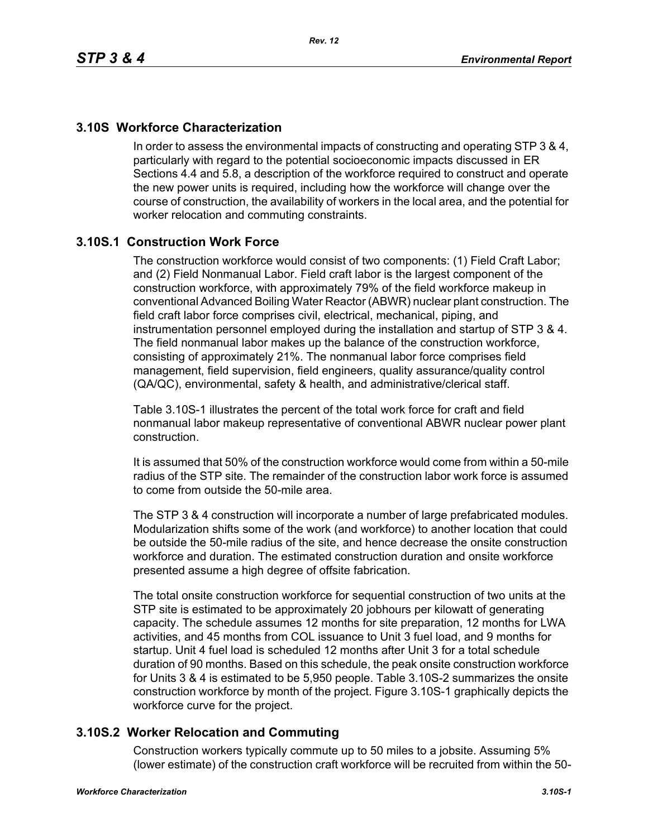## **3.10S Workforce Characterization**

In order to assess the environmental impacts of constructing and operating STP 3 & 4, particularly with regard to the potential socioeconomic impacts discussed in ER Sections 4.4 and 5.8, a description of the workforce required to construct and operate the new power units is required, including how the workforce will change over the course of construction, the availability of workers in the local area, and the potential for worker relocation and commuting constraints.

## **3.10S.1 Construction Work Force**

The construction workforce would consist of two components: (1) Field Craft Labor; and (2) Field Nonmanual Labor. Field craft labor is the largest component of the construction workforce, with approximately 79% of the field workforce makeup in conventional Advanced Boiling Water Reactor (ABWR) nuclear plant construction. The field craft labor force comprises civil, electrical, mechanical, piping, and instrumentation personnel employed during the installation and startup of STP 3 & 4. The field nonmanual labor makes up the balance of the construction workforce, consisting of approximately 21%. The nonmanual labor force comprises field management, field supervision, field engineers, quality assurance/quality control (QA/QC), environmental, safety & health, and administrative/clerical staff.

Table 3.10S-1 illustrates the percent of the total work force for craft and field nonmanual labor makeup representative of conventional ABWR nuclear power plant construction.

It is assumed that 50% of the construction workforce would come from within a 50-mile radius of the STP site. The remainder of the construction labor work force is assumed to come from outside the 50-mile area.

The STP 3 & 4 construction will incorporate a number of large prefabricated modules. Modularization shifts some of the work (and workforce) to another location that could be outside the 50-mile radius of the site, and hence decrease the onsite construction workforce and duration. The estimated construction duration and onsite workforce presented assume a high degree of offsite fabrication.

The total onsite construction workforce for sequential construction of two units at the STP site is estimated to be approximately 20 jobhours per kilowatt of generating capacity. The schedule assumes 12 months for site preparation, 12 months for LWA activities, and 45 months from COL issuance to Unit 3 fuel load, and 9 months for startup. Unit 4 fuel load is scheduled 12 months after Unit 3 for a total schedule duration of 90 months. Based on this schedule, the peak onsite construction workforce for Units 3 & 4 is estimated to be 5,950 people. Table 3.10S-2 summarizes the onsite construction workforce by month of the project. Figure 3.10S-1 graphically depicts the workforce curve for the project.

## **3.10S.2 Worker Relocation and Commuting**

Construction workers typically commute up to 50 miles to a jobsite. Assuming 5% (lower estimate) of the construction craft workforce will be recruited from within the 50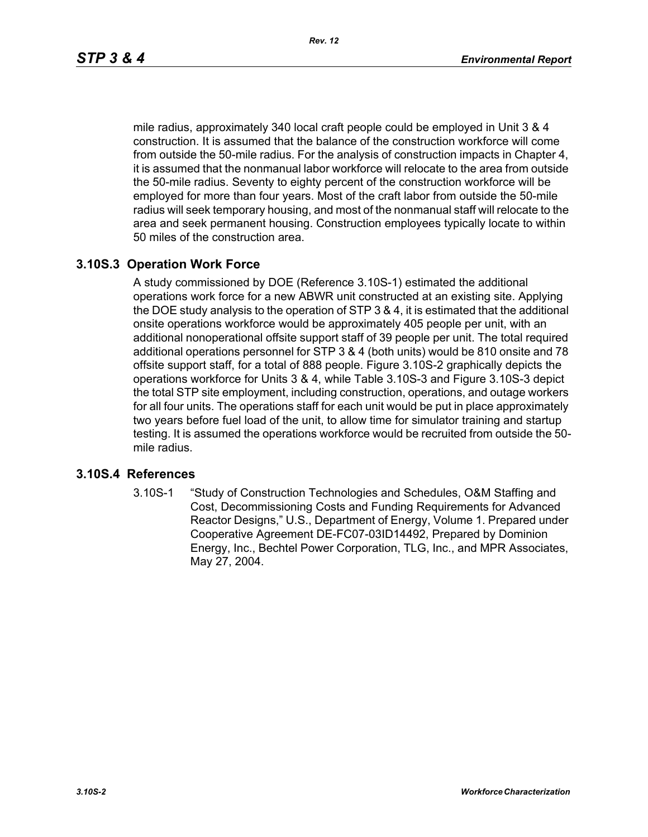mile radius, approximately 340 local craft people could be employed in Unit 3 & 4 construction. It is assumed that the balance of the construction workforce will come from outside the 50-mile radius. For the analysis of construction impacts in Chapter 4, it is assumed that the nonmanual labor workforce will relocate to the area from outside the 50-mile radius. Seventy to eighty percent of the construction workforce will be employed for more than four years. Most of the craft labor from outside the 50-mile radius will seek temporary housing, and most of the nonmanual staff will relocate to the area and seek permanent housing. Construction employees typically locate to within 50 miles of the construction area.

#### **3.10S.3 Operation Work Force**

A study commissioned by DOE (Reference 3.10S-1) estimated the additional operations work force for a new ABWR unit constructed at an existing site. Applying the DOE study analysis to the operation of STP 3 & 4, it is estimated that the additional onsite operations workforce would be approximately 405 people per unit, with an additional nonoperational offsite support staff of 39 people per unit. The total required additional operations personnel for STP 3 & 4 (both units) would be 810 onsite and 78 offsite support staff, for a total of 888 people. Figure 3.10S-2 graphically depicts the operations workforce for Units 3 & 4, while Table 3.10S-3 and Figure 3.10S-3 depict the total STP site employment, including construction, operations, and outage workers for all four units. The operations staff for each unit would be put in place approximately two years before fuel load of the unit, to allow time for simulator training and startup testing. It is assumed the operations workforce would be recruited from outside the 50 mile radius.

#### **3.10S.4 References**

3.10S-1 "Study of Construction Technologies and Schedules, O&M Staffing and Cost, Decommissioning Costs and Funding Requirements for Advanced Reactor Designs," U.S., Department of Energy, Volume 1. Prepared under Cooperative Agreement DE-FC07-03ID14492, Prepared by Dominion Energy, Inc., Bechtel Power Corporation, TLG, Inc., and MPR Associates, May 27, 2004.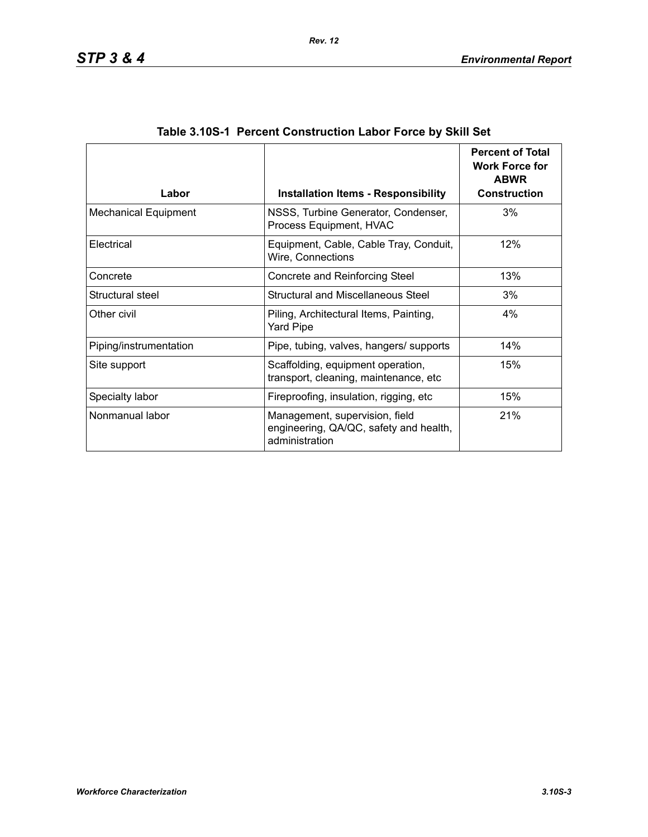| Labor                       | <b>Installation Items - Responsibility</b>                                                 | <b>Percent of Total</b><br><b>Work Force for</b><br><b>ABWR</b><br><b>Construction</b> |
|-----------------------------|--------------------------------------------------------------------------------------------|----------------------------------------------------------------------------------------|
|                             |                                                                                            |                                                                                        |
| <b>Mechanical Equipment</b> | NSSS, Turbine Generator, Condenser,<br>Process Equipment, HVAC                             | 3%                                                                                     |
| Electrical                  | Equipment, Cable, Cable Tray, Conduit,<br>Wire, Connections                                | 12%                                                                                    |
| Concrete                    | Concrete and Reinforcing Steel                                                             | 13%                                                                                    |
| Structural steel            | Structural and Miscellaneous Steel                                                         | 3%                                                                                     |
| Other civil                 | Piling, Architectural Items, Painting,<br>Yard Pipe                                        | $4\%$                                                                                  |
| Piping/instrumentation      | Pipe, tubing, valves, hangers/ supports                                                    | 14%                                                                                    |
| Site support                | Scaffolding, equipment operation,<br>transport, cleaning, maintenance, etc.                | 15%                                                                                    |
| Specialty labor             | Fireproofing, insulation, rigging, etc.                                                    | 15%                                                                                    |
| Nonmanual labor             | Management, supervision, field<br>engineering, QA/QC, safety and health,<br>administration | 21%                                                                                    |

| Table 3.10S-1 Percent Construction Labor Force by Skill Set |  |  |  |  |
|-------------------------------------------------------------|--|--|--|--|
|                                                             |  |  |  |  |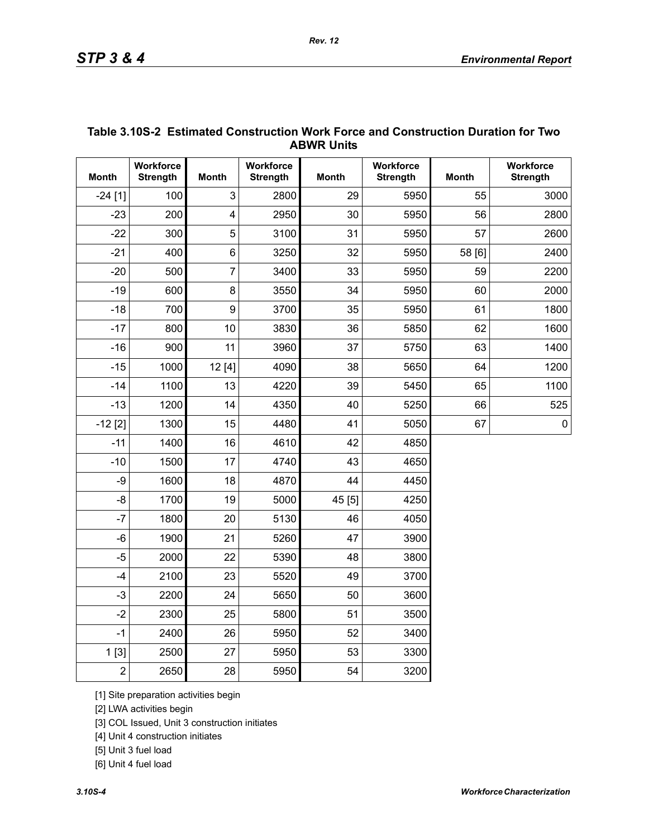| <b>ABWR UNITS</b> |                              |                         |                              |              |                              |              |                              |  |  |
|-------------------|------------------------------|-------------------------|------------------------------|--------------|------------------------------|--------------|------------------------------|--|--|
| <b>Month</b>      | Workforce<br><b>Strength</b> | <b>Month</b>            | Workforce<br><b>Strength</b> | <b>Month</b> | Workforce<br><b>Strength</b> | <b>Month</b> | Workforce<br><b>Strength</b> |  |  |
| $-24[1]$          | 100                          | 3                       | 2800                         | 29           | 5950                         | 55           | 3000                         |  |  |
| $-23$             | 200                          | $\overline{\mathbf{4}}$ | 2950                         | 30           | 5950                         | 56           | 2800                         |  |  |
| $-22$             | 300                          | 5                       | 3100                         | 31           | 5950                         | 57           | 2600                         |  |  |
| $-21$             | 400                          | 6                       | 3250                         | 32           | 5950                         | 58 [6]       | 2400                         |  |  |
| $-20$             | 500                          | $\overline{7}$          | 3400                         | 33           | 5950                         | 59           | 2200                         |  |  |
| $-19$             | 600                          | 8                       | 3550                         | 34           | 5950                         | 60           | 2000                         |  |  |
| $-18$             | 700                          | 9                       | 3700                         | 35           | 5950                         | 61           | 1800                         |  |  |
| $-17$             | 800                          | 10                      | 3830                         | 36           | 5850                         | 62           | 1600                         |  |  |
| $-16$             | 900                          | 11                      | 3960                         | 37           | 5750                         | 63           | 1400                         |  |  |
| $-15$             | 1000                         | 12[4]                   | 4090                         | 38           | 5650                         | 64           | 1200                         |  |  |
| $-14$             | 1100                         | 13                      | 4220                         | 39           | 5450                         | 65           | 1100                         |  |  |
| $-13$             | 1200                         | 14                      | 4350                         | 40           | 5250                         | 66           | 525                          |  |  |
| $-12$ [2]         | 1300                         | 15                      | 4480                         | 41           | 5050                         | 67           | $\pmb{0}$                    |  |  |
| $-11$             | 1400                         | 16                      | 4610                         | 42           | 4850                         |              |                              |  |  |
| $-10$             | 1500                         | 17                      | 4740                         | 43           | 4650                         |              |                              |  |  |
| -9                | 1600                         | 18                      | 4870                         | 44           | 4450                         |              |                              |  |  |
| $-8$              | 1700                         | 19                      | 5000                         | 45 [5]       | 4250                         |              |                              |  |  |
| $-7$              | 1800                         | 20                      | 5130                         | 46           | 4050                         |              |                              |  |  |
| $-6$              | 1900                         | 21                      | 5260                         | 47           | 3900                         |              |                              |  |  |
| $-5$              | 2000                         | 22                      | 5390                         | 48           | 3800                         |              |                              |  |  |
| $-4$              | 2100                         | 23                      | 5520                         | 49           | 3700                         |              |                              |  |  |
| $-3$              | 2200                         | 24                      | 5650                         | 50           | 3600                         |              |                              |  |  |
| $-2$              | 2300                         | 25                      | 5800                         | 51           | 3500                         |              |                              |  |  |
| $-1$              | 2400                         | 26                      | 5950                         | 52           | 3400                         |              |                              |  |  |
| 1[3]              | 2500                         | 27                      | 5950                         | 53           | 3300                         |              |                              |  |  |
| $\overline{2}$    | 2650                         | 28                      | 5950                         | 54           | 3200                         |              |                              |  |  |

#### **Table 3.10S-2 Estimated Construction Work Force and Construction Duration for Two ABWR Units**

[1] Site preparation activities begin

[2] LWA activities begin

[3] COL Issued, Unit 3 construction initiates

[4] Unit 4 construction initiates

[5] Unit 3 fuel load

[6] Unit 4 fuel load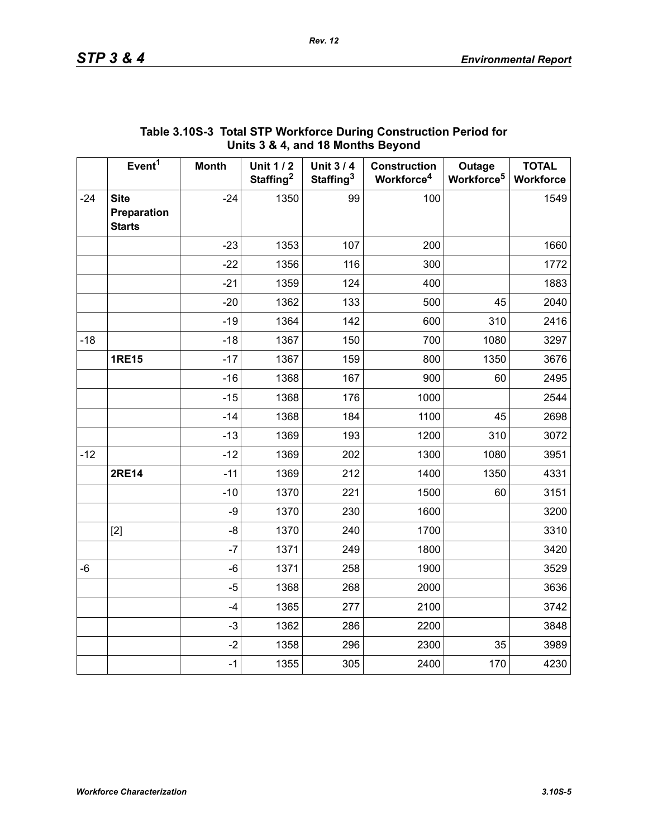|       |                                             |              | $\frac{1}{2}$ or $\frac{1}{2}$ , and to months beyond |                                          |                                               |                                  |                           |
|-------|---------------------------------------------|--------------|-------------------------------------------------------|------------------------------------------|-----------------------------------------------|----------------------------------|---------------------------|
|       | Event <sup>1</sup>                          | <b>Month</b> | <b>Unit 1/2</b><br>Staffing <sup>2</sup>              | <b>Unit 3/4</b><br>Staffing <sup>3</sup> | <b>Construction</b><br>Workforce <sup>4</sup> | Outage<br>Workforce <sup>5</sup> | <b>TOTAL</b><br>Workforce |
| $-24$ | <b>Site</b><br>Preparation<br><b>Starts</b> | $-24$        | 1350                                                  | 99                                       | 100                                           |                                  | 1549                      |
|       |                                             | $-23$        | 1353                                                  | 107                                      | 200                                           |                                  | 1660                      |
|       |                                             | $-22$        | 1356                                                  | 116                                      | 300                                           |                                  | 1772                      |
|       |                                             | $-21$        | 1359                                                  | 124                                      | 400                                           |                                  | 1883                      |
|       |                                             | $-20$        | 1362                                                  | 133                                      | 500                                           | 45                               | 2040                      |
|       |                                             | $-19$        | 1364                                                  | 142                                      | 600                                           | 310                              | 2416                      |
| $-18$ |                                             | $-18$        | 1367                                                  | 150                                      | 700                                           | 1080                             | 3297                      |
|       | <b>1RE15</b>                                | $-17$        | 1367                                                  | 159                                      | 800                                           | 1350                             | 3676                      |
|       |                                             | $-16$        | 1368                                                  | 167                                      | 900                                           | 60                               | 2495                      |
|       |                                             | $-15$        | 1368                                                  | 176                                      | 1000                                          |                                  | 2544                      |
|       |                                             | $-14$        | 1368                                                  | 184                                      | 1100                                          | 45                               | 2698                      |
|       |                                             | $-13$        | 1369                                                  | 193                                      | 1200                                          | 310                              | 3072                      |
| $-12$ |                                             | $-12$        | 1369                                                  | 202                                      | 1300                                          | 1080                             | 3951                      |
|       | <b>2RE14</b>                                | $-11$        | 1369                                                  | 212                                      | 1400                                          | 1350                             | 4331                      |
|       |                                             | $-10$        | 1370                                                  | 221                                      | 1500                                          | 60                               | 3151                      |
|       |                                             | -9           | 1370                                                  | 230                                      | 1600                                          |                                  | 3200                      |
|       | $[2]$                                       | -8           | 1370                                                  | 240                                      | 1700                                          |                                  | 3310                      |
|       |                                             | $-7$         | 1371                                                  | 249                                      | 1800                                          |                                  | 3420                      |
| $-6$  |                                             | $-6$         | 1371                                                  | 258                                      | 1900                                          |                                  | 3529                      |
|       |                                             | $-5$         | 1368                                                  | 268                                      | 2000                                          |                                  | 3636                      |
|       |                                             | $-4$         | 1365                                                  | 277                                      | 2100                                          |                                  | 3742                      |
|       |                                             | $-3$         | 1362                                                  | 286                                      | 2200                                          |                                  | 3848                      |
|       |                                             | $-2$         | 1358                                                  | 296                                      | 2300                                          | 35                               | 3989                      |
|       |                                             | $-1$         | 1355                                                  | 305                                      | 2400                                          | 170                              | 4230                      |

### **Table 3.10S-3 Total STP Workforce During Construction Period for Units 3 & 4, and 18 Months Beyond**

*Rev. 12*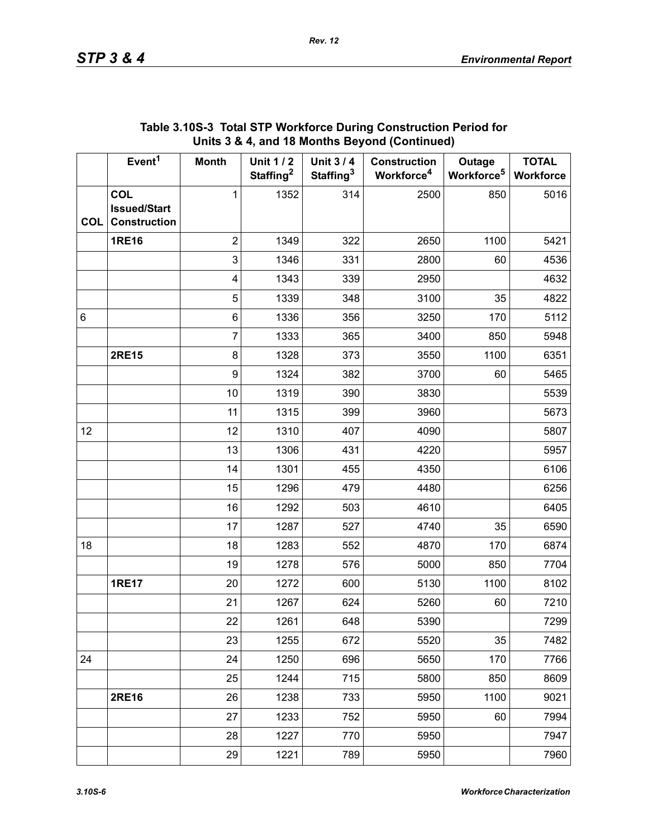|            | Event <sup>1</sup>                                | <b>Month</b>            | <b>Unit 1/2</b><br>Staffing <sup>2</sup> | Unit 3 / 4<br>Staffing <sup>3</sup> | <b>Construction</b><br>Workforce <sup>4</sup> | Outage<br>Workforce <sup>5</sup> | <b>TOTAL</b><br>Workforce |
|------------|---------------------------------------------------|-------------------------|------------------------------------------|-------------------------------------|-----------------------------------------------|----------------------------------|---------------------------|
| <b>COL</b> | COL<br><b>Issued/Start</b><br><b>Construction</b> | 1                       | 1352                                     | 314                                 | 2500                                          | 850                              | 5016                      |
|            | <b>1RE16</b>                                      | $\overline{2}$          | 1349                                     | 322                                 | 2650                                          | 1100                             | 5421                      |
|            |                                                   | $\mathbf 3$             | 1346                                     | 331                                 | 2800                                          | 60                               | 4536                      |
|            |                                                   | $\overline{\mathbf{4}}$ | 1343                                     | 339                                 | 2950                                          |                                  | 4632                      |
|            |                                                   | $\sqrt{5}$              | 1339                                     | 348                                 | 3100                                          | 35                               | 4822                      |
| $\,6\,$    |                                                   | $\,6$                   | 1336                                     | 356                                 | 3250                                          | 170                              | 5112                      |
|            |                                                   | $\overline{7}$          | 1333                                     | 365                                 | 3400                                          | 850                              | 5948                      |
|            | <b>2RE15</b>                                      | $\bf 8$                 | 1328                                     | 373                                 | 3550                                          | 1100                             | 6351                      |
|            |                                                   | $\boldsymbol{9}$        | 1324                                     | 382                                 | 3700                                          | 60                               | 5465                      |
|            |                                                   | 10                      | 1319                                     | 390                                 | 3830                                          |                                  | 5539                      |
|            |                                                   | 11                      | 1315                                     | 399                                 | 3960                                          |                                  | 5673                      |
| 12         |                                                   | 12                      | 1310                                     | 407                                 | 4090                                          |                                  | 5807                      |
|            |                                                   | 13                      | 1306                                     | 431                                 | 4220                                          |                                  | 5957                      |
|            |                                                   | 14                      | 1301                                     | 455                                 | 4350                                          |                                  | 6106                      |
|            |                                                   | 15                      | 1296                                     | 479                                 | 4480                                          |                                  | 6256                      |
|            |                                                   | 16                      | 1292                                     | 503                                 | 4610                                          |                                  | 6405                      |
|            |                                                   | 17                      | 1287                                     | 527                                 | 4740                                          | 35                               | 6590                      |
| 18         |                                                   | 18                      | 1283                                     | 552                                 | 4870                                          | 170                              | 6874                      |
|            |                                                   | 19                      | 1278                                     | 576                                 | 5000                                          | 850                              | 7704                      |
|            | <b>1RE17</b>                                      | 20                      | 1272                                     | 600                                 | 5130                                          | 1100                             | 8102                      |
|            |                                                   | 21                      | 1267                                     | 624                                 | 5260                                          | 60                               | 7210                      |
|            |                                                   | 22                      | 1261                                     | 648                                 | 5390                                          |                                  | 7299                      |
|            |                                                   | 23                      | 1255                                     | 672                                 | 5520                                          | 35                               | 7482                      |
| 24         |                                                   | 24                      | 1250                                     | 696                                 | 5650                                          | 170                              | 7766                      |
|            |                                                   | 25                      | 1244                                     | 715                                 | 5800                                          | 850                              | 8609                      |
|            | <b>2RE16</b>                                      | 26                      | 1238                                     | 733                                 | 5950                                          | 1100                             | 9021                      |
|            |                                                   | 27                      | 1233                                     | 752                                 | 5950                                          | 60                               | 7994                      |
|            |                                                   | 28                      | 1227                                     | 770                                 | 5950                                          |                                  | 7947                      |
|            |                                                   | 29                      | 1221                                     | 789                                 | 5950                                          |                                  | 7960                      |

#### **Table 3.10S-3 Total STP Workforce During Construction Period for Units 3 & 4, and 18 Months Beyond (Continued)**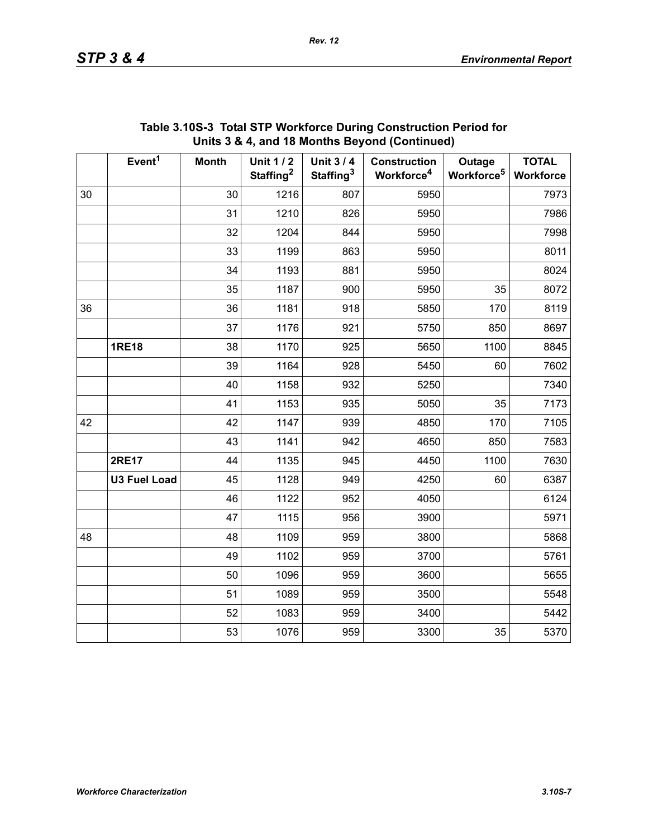|    | Event <sup>1</sup>  | <b>Month</b> | <b>Unit 1/2</b><br>Staffing <sup>2</sup> | <b>Unit 3/4</b><br>Staffing <sup>3</sup> | <b>Construction</b><br>Workforce <sup>4</sup> | Outage<br>Workforce <sup>5</sup> | <b>TOTAL</b><br>Workforce |
|----|---------------------|--------------|------------------------------------------|------------------------------------------|-----------------------------------------------|----------------------------------|---------------------------|
| 30 |                     | 30           | 1216                                     | 807                                      | 5950                                          |                                  | 7973                      |
|    |                     | 31           | 1210                                     | 826                                      | 5950                                          |                                  | 7986                      |
|    |                     | 32           | 1204                                     | 844                                      | 5950                                          |                                  | 7998                      |
|    |                     | 33           | 1199                                     | 863                                      | 5950                                          |                                  | 8011                      |
|    |                     | 34           | 1193                                     | 881                                      | 5950                                          |                                  | 8024                      |
|    |                     | 35           | 1187                                     | 900                                      | 5950                                          | 35                               | 8072                      |
| 36 |                     | 36           | 1181                                     | 918                                      | 5850                                          | 170                              | 8119                      |
|    |                     | 37           | 1176                                     | 921                                      | 5750                                          | 850                              | 8697                      |
|    | <b>1RE18</b>        | 38           | 1170                                     | 925                                      | 5650                                          | 1100                             | 8845                      |
|    |                     | 39           | 1164                                     | 928                                      | 5450                                          | 60                               | 7602                      |
|    |                     | 40           | 1158                                     | 932                                      | 5250                                          |                                  | 7340                      |
|    |                     | 41           | 1153                                     | 935                                      | 5050                                          | 35                               | 7173                      |
| 42 |                     | 42           | 1147                                     | 939                                      | 4850                                          | 170                              | 7105                      |
|    |                     | 43           | 1141                                     | 942                                      | 4650                                          | 850                              | 7583                      |
|    | <b>2RE17</b>        | 44           | 1135                                     | 945                                      | 4450                                          | 1100                             | 7630                      |
|    | <b>U3 Fuel Load</b> | 45           | 1128                                     | 949                                      | 4250                                          | 60                               | 6387                      |
|    |                     | 46           | 1122                                     | 952                                      | 4050                                          |                                  | 6124                      |
|    |                     | 47           | 1115                                     | 956                                      | 3900                                          |                                  | 5971                      |
| 48 |                     | 48           | 1109                                     | 959                                      | 3800                                          |                                  | 5868                      |
|    |                     | 49           | 1102                                     | 959                                      | 3700                                          |                                  | 5761                      |
|    |                     | 50           | 1096                                     | 959                                      | 3600                                          |                                  | 5655                      |
|    |                     | 51           | 1089                                     | 959                                      | 3500                                          |                                  | 5548                      |
|    |                     | 52           | 1083                                     | 959                                      | 3400                                          |                                  | 5442                      |
|    |                     | 53           | 1076                                     | 959                                      | 3300                                          | 35                               | 5370                      |

#### **Table 3.10S-3 Total STP Workforce During Construction Period for Units 3 & 4, and 18 Months Beyond (Continued)**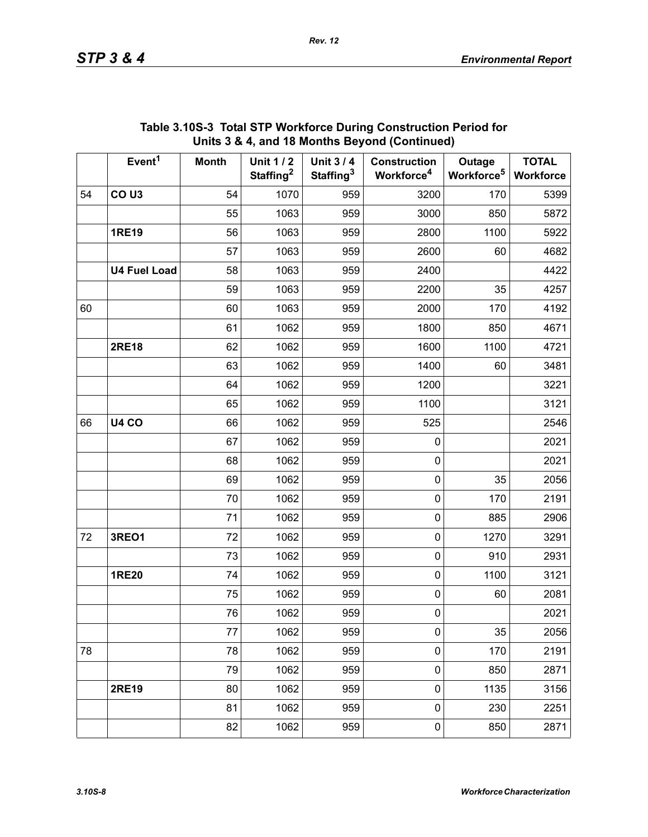|    | Event <sup>1</sup>  | <b>Month</b> | <b>Unit 1/2</b><br>Staffing <sup>2</sup> | <b>Unit 3/4</b><br>Staffing <sup>3</sup> | <b>Construction</b><br>Workforce <sup>4</sup> | Outage<br>Workforce <sup>5</sup> | <b>TOTAL</b><br>Workforce |
|----|---------------------|--------------|------------------------------------------|------------------------------------------|-----------------------------------------------|----------------------------------|---------------------------|
| 54 | CO <sub>U3</sub>    | 54           | 1070                                     | 959                                      | 3200                                          | 170                              | 5399                      |
|    |                     | 55           | 1063                                     | 959                                      | 3000                                          | 850                              | 5872                      |
|    | <b>1RE19</b>        | 56           | 1063                                     | 959                                      | 2800                                          | 1100                             | 5922                      |
|    |                     | 57           | 1063                                     | 959                                      | 2600                                          | 60                               | 4682                      |
|    | <b>U4 Fuel Load</b> | 58           | 1063                                     | 959                                      | 2400                                          |                                  | 4422                      |
|    |                     | 59           | 1063                                     | 959                                      | 2200                                          | 35                               | 4257                      |
| 60 |                     | 60           | 1063                                     | 959                                      | 2000                                          | 170                              | 4192                      |
|    |                     | 61           | 1062                                     | 959                                      | 1800                                          | 850                              | 4671                      |
|    | <b>2RE18</b>        | 62           | 1062                                     | 959                                      | 1600                                          | 1100                             | 4721                      |
|    |                     | 63           | 1062                                     | 959                                      | 1400                                          | 60                               | 3481                      |
|    |                     | 64           | 1062                                     | 959                                      | 1200                                          |                                  | 3221                      |
|    |                     | 65           | 1062                                     | 959                                      | 1100                                          |                                  | 3121                      |
| 66 | <b>U4 CO</b>        | 66           | 1062                                     | 959                                      | 525                                           |                                  | 2546                      |
|    |                     | 67           | 1062                                     | 959                                      | 0                                             |                                  | 2021                      |
|    |                     | 68           | 1062                                     | 959                                      | 0                                             |                                  | 2021                      |
|    |                     | 69           | 1062                                     | 959                                      | 0                                             | 35                               | 2056                      |
|    |                     | 70           | 1062                                     | 959                                      | 0                                             | 170                              | 2191                      |
|    |                     | 71           | 1062                                     | 959                                      | 0                                             | 885                              | 2906                      |
| 72 | 3REO1               | 72           | 1062                                     | 959                                      | 0                                             | 1270                             | 3291                      |
|    |                     | 73           | 1062                                     | 959                                      | 0                                             | 910                              | 2931                      |
|    | <b>1RE20</b>        | 74           | 1062                                     | 959                                      | 0                                             | 1100                             | 3121                      |
|    |                     | 75           | 1062                                     | 959                                      | 0                                             | 60                               | 2081                      |
|    |                     | 76           | 1062                                     | 959                                      | $\mathbf 0$                                   |                                  | 2021                      |
|    |                     | 77           | 1062                                     | 959                                      | 0                                             | 35                               | 2056                      |
| 78 |                     | 78           | 1062                                     | 959                                      | $\mathsf{O}\xspace$                           | 170                              | 2191                      |
|    |                     | 79           | 1062                                     | 959                                      | $\mathbf 0$                                   | 850                              | 2871                      |
|    | <b>2RE19</b>        | 80           | 1062                                     | 959                                      | $\pmb{0}$                                     | 1135                             | 3156                      |
|    |                     | 81           | 1062                                     | 959                                      | $\mathbf 0$                                   | 230                              | 2251                      |
|    |                     | 82           | 1062                                     | 959                                      | 0                                             | 850                              | 2871                      |

#### **Table 3.10S-3 Total STP Workforce During Construction Period for Units 3 & 4, and 18 Months Beyond (Continued)**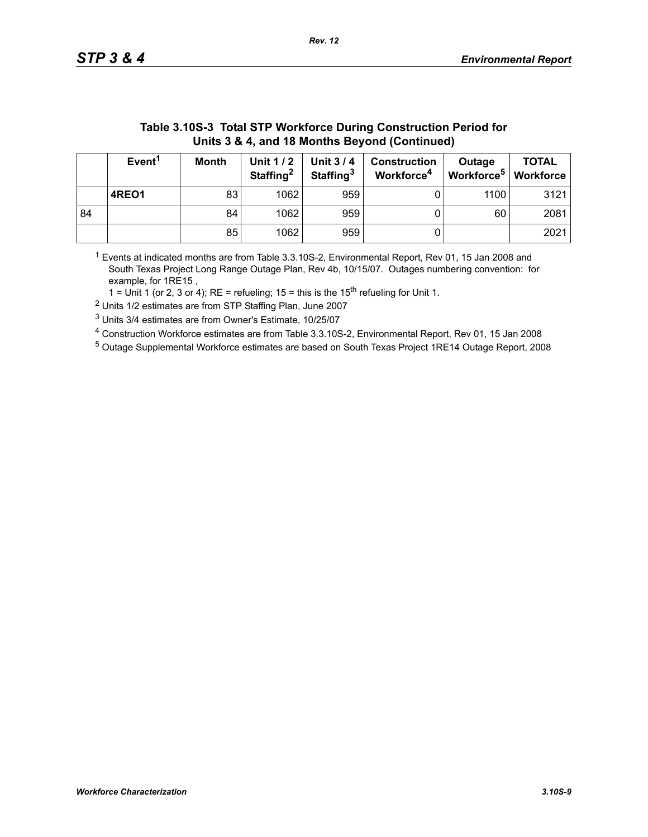| Units 3 & 4, and 18 Months Beyond (Continued) |                                                                                                                                                                                                                                                     |    |      |     |  |      |      |  |  |
|-----------------------------------------------|-----------------------------------------------------------------------------------------------------------------------------------------------------------------------------------------------------------------------------------------------------|----|------|-----|--|------|------|--|--|
|                                               | Event <sup>1</sup><br><b>TOTAL</b><br><b>Unit 1/2</b><br><b>Unit 3/4</b><br><b>Month</b><br><b>Construction</b><br>Outage<br>Workforce <sup>5</sup><br>Staffing <sup>2</sup><br>Staffing <sup>3</sup><br>Workforce <sup>4</sup><br><b>Workforce</b> |    |      |     |  |      |      |  |  |
|                                               | 4REO1                                                                                                                                                                                                                                               | 83 | 1062 | 959 |  | 1100 | 3121 |  |  |
| 84                                            |                                                                                                                                                                                                                                                     | 84 | 1062 | 959 |  | 60   | 2081 |  |  |
|                                               |                                                                                                                                                                                                                                                     | 85 | 1062 | 959 |  |      | 2021 |  |  |

# **Table 3.10S-3 Total STP Workforce During Construction Period for**

 $1$  Events at indicated months are from Table 3.3.10S-2, Environmental Report, Rev 01, 15 Jan 2008 and South Texas Project Long Range Outage Plan, Rev 4b, 10/15/07. Outages numbering convention: for example, for 1RE15 ,

1 = Unit 1 (or 2, 3 or 4); RE = refueling; 15 = this is the  $15<sup>th</sup>$  refueling for Unit 1.

2 Units 1/2 estimates are from STP Staffing Plan, June 2007

3 Units 3/4 estimates are from Owner's Estimate, 10/25/07

4 Construction Workforce estimates are from Table 3.3.10S-2, Environmental Report, Rev 01, 15 Jan 2008

5 Outage Supplemental Workforce estimates are based on South Texas Project 1RE14 Outage Report, 2008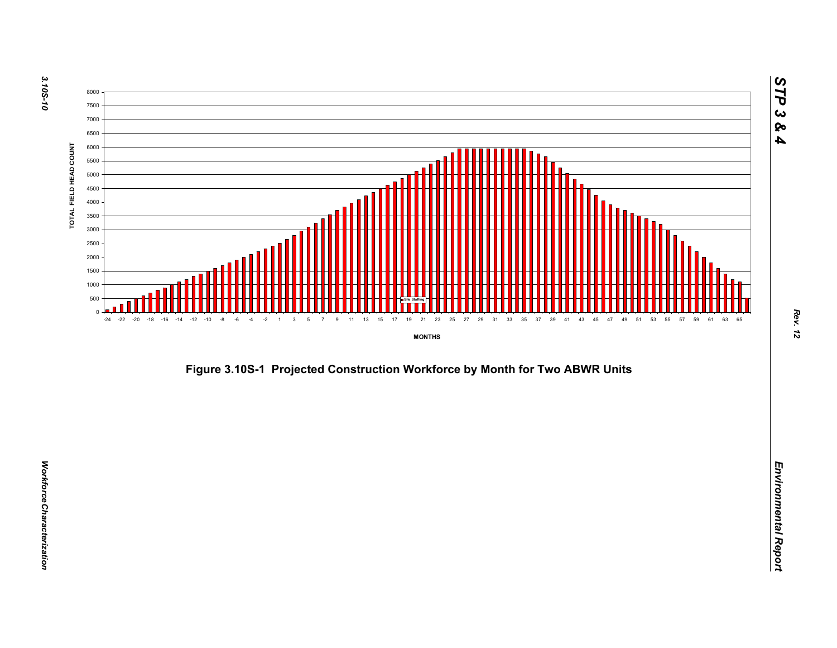

*Figure 3.10S-1 Projected Construction Workforce by Month for Two ABWR Units*<br>*Environmental Report*<br>Benefits and the structure of the structure of the structure of the structure of the structure of the structure<br>of the st

*Rev. 12*

*STP 3 & 4*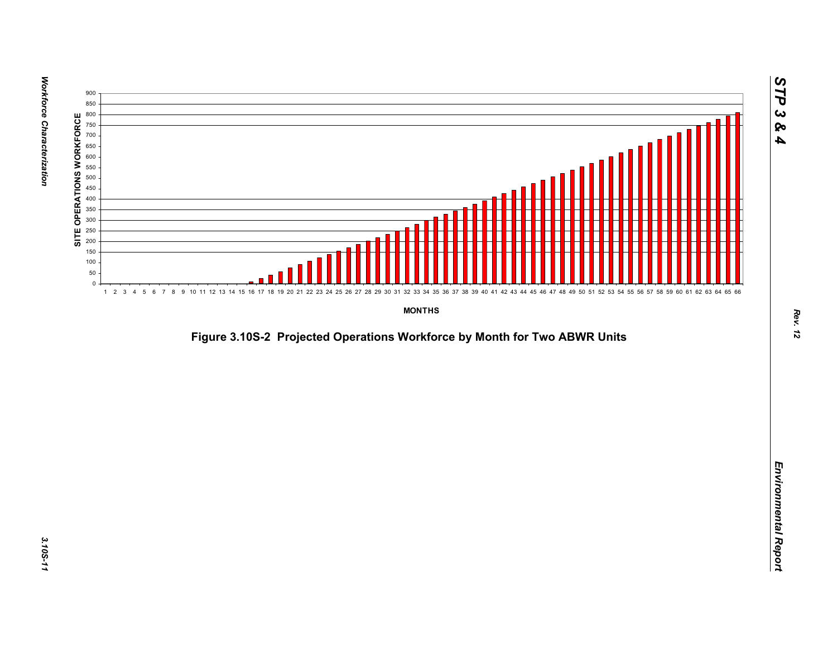

*Figure 3.10S-2 Projected Operations Workforce by Month for Two ABWR Units*<br>*Environmental Report*<br>Projected Operations Workforce by Month for Two ABWR Units<br>Projected Operations Workforce by Month for Two ABWR Units<br>Proje

*STP 3 & 4*